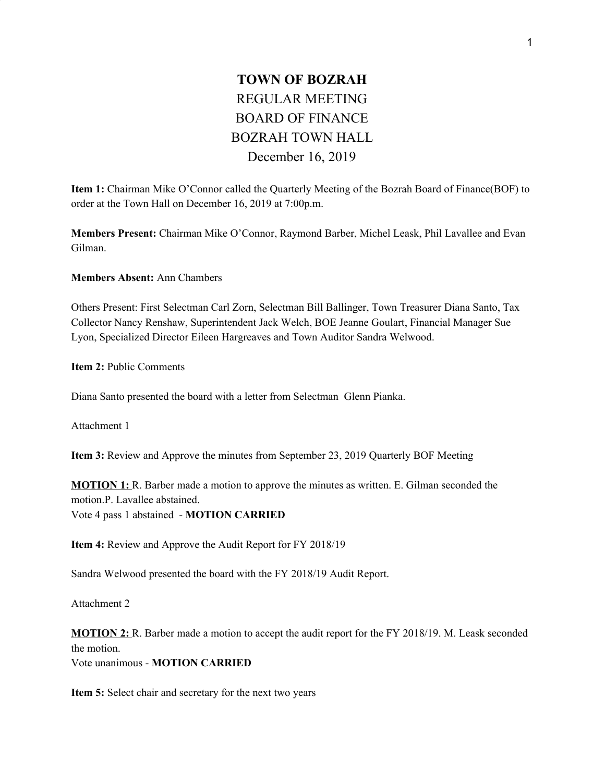## **TOWN OF BOZRAH** REGULAR MEETING BOARD OF FINANCE BOZRAH TOWN HALL December 16, 2019

**Item 1:** Chairman Mike O'Connor called the Quarterly Meeting of the Bozrah Board of Finance(BOF) to order at the Town Hall on December 16, 2019 at 7:00p.m.

**Members Present:** Chairman Mike O'Connor, Raymond Barber, Michel Leask, Phil Lavallee and Evan Gilman.

**Members Absent:** Ann Chambers

Others Present: First Selectman Carl Zorn, Selectman Bill Ballinger, Town Treasurer Diana Santo, Tax Collector Nancy Renshaw, Superintendent Jack Welch, BOE Jeanne Goulart, Financial Manager Sue Lyon, Specialized Director Eileen Hargreaves and Town Auditor Sandra Welwood.

**Item 2:** Public Comments

Diana Santo presented the board with a letter from Selectman Glenn Pianka.

Attachment 1

**Item 3:** Review and Approve the minutes from September 23, 2019 Quarterly BOF Meeting

**MOTION 1:** R. Barber made a motion to approve the minutes as written. E. Gilman seconded the motion.P. Lavallee abstained. Vote 4 pass 1 abstained - **MOTION CARRIED**

**Item 4:** Review and Approve the Audit Report for FY 2018/19

Sandra Welwood presented the board with the FY 2018/19 Audit Report.

Attachment 2

**MOTION 2:** R. Barber made a motion to accept the audit report for the FY 2018/19. M. Leask seconded the motion. Vote unanimous - **MOTION CARRIED**

**Item 5:** Select chair and secretary for the next two years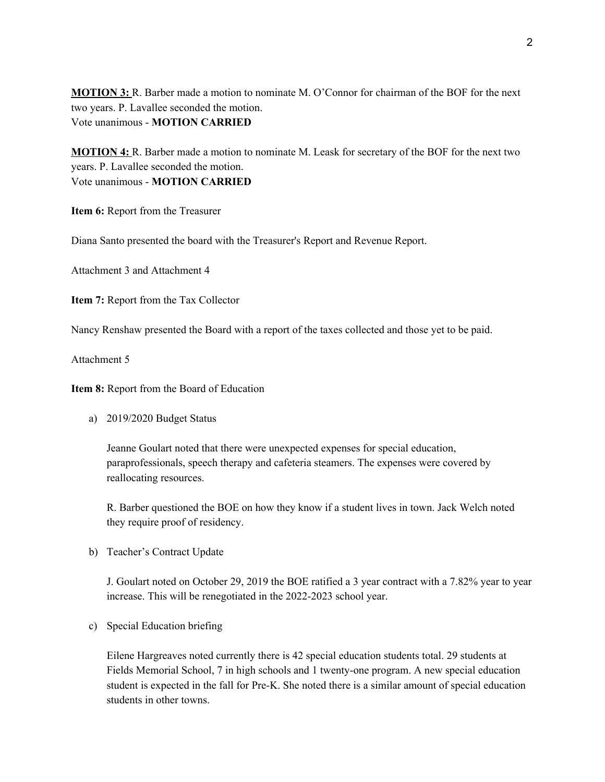**MOTION 3:** R. Barber made a motion to nominate M. O'Connor for chairman of the BOF for the next two years. P. Lavallee seconded the motion. Vote unanimous - **MOTION CARRIED**

**MOTION 4:** R. Barber made a motion to nominate M. Leask for secretary of the BOF for the next two years. P. Lavallee seconded the motion. Vote unanimous - **MOTION CARRIED**

**Item 6:** Report from the Treasurer

Diana Santo presented the board with the Treasurer's Report and Revenue Report.

Attachment 3 and Attachment 4

**Item 7:** Report from the Tax Collector

Nancy Renshaw presented the Board with a report of the taxes collected and those yet to be paid.

Attachment 5

**Item 8:** Report from the Board of Education

a) 2019/2020 Budget Status

Jeanne Goulart noted that there were unexpected expenses for special education, paraprofessionals, speech therapy and cafeteria steamers. The expenses were covered by reallocating resources.

R. Barber questioned the BOE on how they know if a student lives in town. Jack Welch noted they require proof of residency.

b) Teacher's Contract Update

J. Goulart noted on October 29, 2019 the BOE ratified a 3 year contract with a 7.82% year to year increase. This will be renegotiated in the 2022-2023 school year.

c) Special Education briefing

Eilene Hargreaves noted currently there is 42 special education students total. 29 students at Fields Memorial School, 7 in high schools and 1 twenty-one program. A new special education student is expected in the fall for Pre-K. She noted there is a similar amount of special education students in other towns.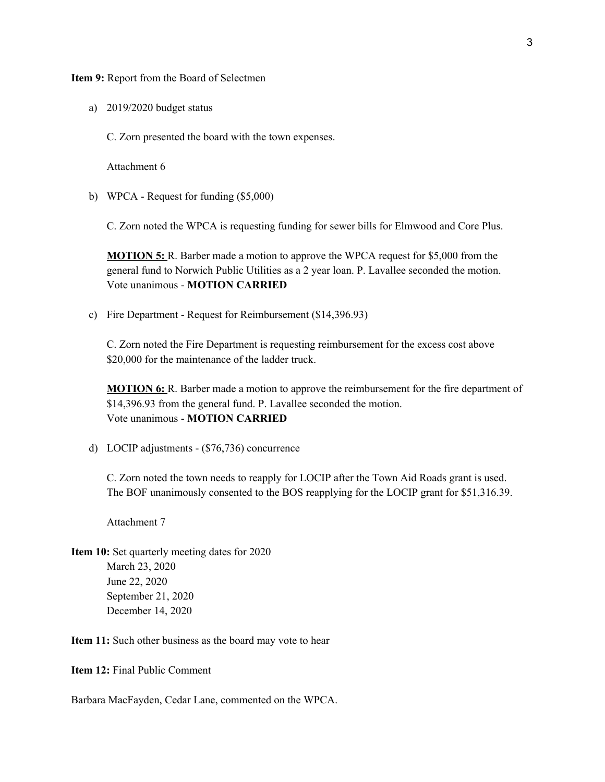**Item 9:** Report from the Board of Selectmen

- a) 2019/2020 budget status
	- C. Zorn presented the board with the town expenses.

Attachment 6

b) WPCA - Request for funding (\$5,000)

C. Zorn noted the WPCA is requesting funding for sewer bills for Elmwood and Core Plus.

**MOTION 5:** R. Barber made a motion to approve the WPCA request for \$5,000 from the general fund to Norwich Public Utilities as a 2 year loan. P. Lavallee seconded the motion. Vote unanimous - **MOTION CARRIED**

c) Fire Department - Request for Reimbursement (\$14,396.93)

C. Zorn noted the Fire Department is requesting reimbursement for the excess cost above \$20,000 for the maintenance of the ladder truck.

**MOTION 6:** R. Barber made a motion to approve the reimbursement for the fire department of \$14,396.93 from the general fund. P. Lavallee seconded the motion. Vote unanimous - **MOTION CARRIED**

d) LOCIP adjustments - (\$76,736) concurrence

C. Zorn noted the town needs to reapply for LOCIP after the Town Aid Roads grant is used. The BOF unanimously consented to the BOS reapplying for the LOCIP grant for \$51,316.39.

Attachment 7

**Item 10:** Set quarterly meeting dates for 2020 March 23, 2020 June 22, 2020 September 21, 2020 December 14, 2020

**Item 11:** Such other business as the board may vote to hear

**Item 12:** Final Public Comment

Barbara MacFayden, Cedar Lane, commented on the WPCA.